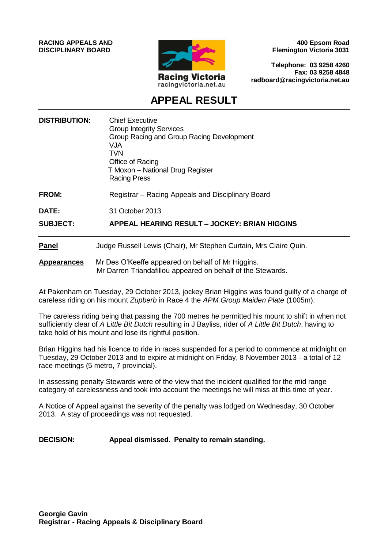**RACING APPEALS AND DISCIPLINARY BOARD**



**400 Epsom Road Flemington Victoria 3031**

**Telephone: 03 9258 4260 Fax: 03 9258 4848 radboard@racingvictoria.net.au**

# **APPEAL RESULT**

| <b>DISTRIBUTION:</b> | <b>Chief Executive</b><br><b>Group Integrity Services</b><br>Group Racing and Group Racing Development<br>VJA<br>TVN<br>Office of Racing<br>T Moxon - National Drug Register<br><b>Racing Press</b> |
|----------------------|-----------------------------------------------------------------------------------------------------------------------------------------------------------------------------------------------------|
| <b>FROM:</b>         | Registrar – Racing Appeals and Disciplinary Board                                                                                                                                                   |
| DATE:                | 31 October 2013                                                                                                                                                                                     |
| <b>SUBJECT:</b>      | <b>APPEAL HEARING RESULT - JOCKEY: BRIAN HIGGINS</b>                                                                                                                                                |
| <b>Panel</b>         | Judge Russell Lewis (Chair), Mr Stephen Curtain, Mrs Claire Quin.                                                                                                                                   |
| <b>Appearances</b>   | Mr Des O'Keeffe appeared on behalf of Mr Higgins.<br>Mr Darren Triandafillou appeared on behalf of the Stewards.                                                                                    |

At Pakenham on Tuesday, 29 October 2013, jockey Brian Higgins was found guilty of a charge of careless riding on his mount *Zupberb* in Race 4 the *APM Group Maiden Plate* (1005m).

The careless riding being that passing the 700 metres he permitted his mount to shift in when not sufficiently clear of *A Little Bit Dutch* resulting in J Bayliss, rider of *A Little Bit Dutch*, having to take hold of his mount and lose its rightful position.

Brian Higgins had his licence to ride in races suspended for a period to commence at midnight on Tuesday, 29 October 2013 and to expire at midnight on Friday, 8 November 2013 - a total of 12 race meetings (5 metro, 7 provincial).

In assessing penalty Stewards were of the view that the incident qualified for the mid range category of carelessness and took into account the meetings he will miss at this time of year.

A Notice of Appeal against the severity of the penalty was lodged on Wednesday, 30 October 2013. A stay of proceedings was not requested.

**DECISION: Appeal dismissed. Penalty to remain standing.**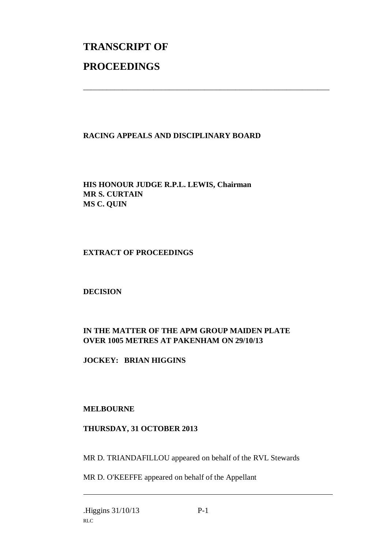# **TRANSCRIPT OF PROCEEDINGS**

### **RACING APPEALS AND DISCIPLINARY BOARD**

\_\_\_\_\_\_\_\_\_\_\_\_\_\_\_\_\_\_\_\_\_\_\_\_\_\_\_\_\_\_\_\_\_\_\_\_\_\_\_\_\_\_\_\_\_\_\_\_\_\_\_\_\_\_\_\_\_\_\_\_\_\_\_

**HIS HONOUR JUDGE R.P.L. LEWIS, Chairman MR S. CURTAIN MS C. QUIN**

#### **EXTRACT OF PROCEEDINGS**

**DECISION**

## **IN THE MATTER OF THE APM GROUP MAIDEN PLATE OVER 1005 METRES AT PAKENHAM ON 29/10/13**

**JOCKEY: BRIAN HIGGINS**

#### **MELBOURNE**

#### **THURSDAY, 31 OCTOBER 2013**

MR D. TRIANDAFILLOU appeared on behalf of the RVL Stewards

MR D. O'KEEFFE appeared on behalf of the Appellant